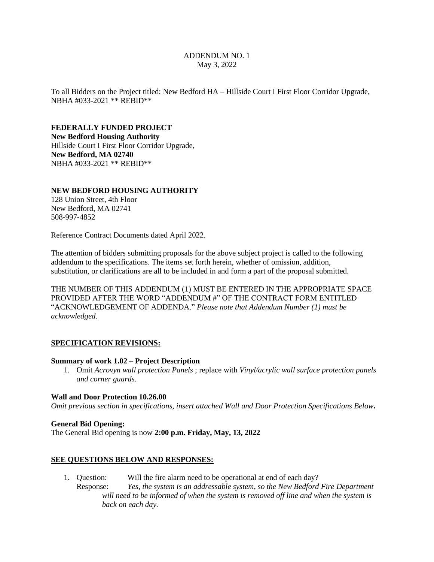#### ADDENDUM NO. 1 May 3, 2022

To all Bidders on the Project titled: New Bedford HA – Hillside Court I First Floor Corridor Upgrade, NBHA #033-2021 \*\* REBID\*\*

**FEDERALLY FUNDED PROJECT New Bedford Housing Authority** Hillside Court I First Floor Corridor Upgrade, **New Bedford, MA 02740** NBHA #033-2021 \*\* REBID\*\*

#### **NEW BEDFORD HOUSING AUTHORITY**

128 Union Street, 4th Floor New Bedford, MA 02741 508-997-4852

Reference Contract Documents dated April 2022.

The attention of bidders submitting proposals for the above subject project is called to the following addendum to the specifications. The items set forth herein, whether of omission, addition, substitution, or clarifications are all to be included in and form a part of the proposal submitted.

THE NUMBER OF THIS ADDENDUM (1) MUST BE ENTERED IN THE APPROPRIATE SPACE PROVIDED AFTER THE WORD "ADDENDUM #" OF THE CONTRACT FORM ENTITLED "ACKNOWLEDGEMENT OF ADDENDA." *Please note that Addendum Number (1) must be acknowledged*.

#### **SPECIFICATION REVISIONS:**

#### **Summary of work 1.02 – Project Description**

1. Omit *Acrovyn wall protection Panels* ; replace with *Vinyl/acrylic wall surface protection panels and corner guards.*

#### **Wall and Door Protection 10.26.00**

*Omit previous section in specifications, insert attached Wall and Door Protection Specifications Below***.**

#### **General Bid Opening:**

The General Bid opening is now **2:00 p.m. Friday, May, 13, 2022**

#### **SEE QUESTIONS BELOW AND RESPONSES:**

1. Question: Will the fire alarm need to be operational at end of each day? Response: *Yes, the system is an addressable system, so the New Bedford Fire Department will need to be informed of when the system is removed off line and when the system is back on each day.*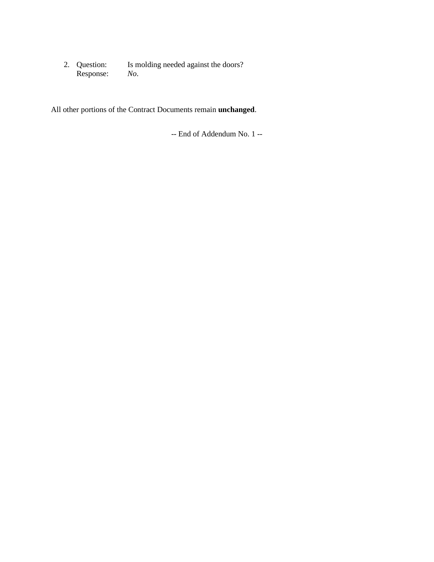Is molding needed against the doors? 2. Question: Is m<br>Response: *No*.

All other portions of the Contract Documents remain **unchanged**.

-- End of Addendum No. 1 --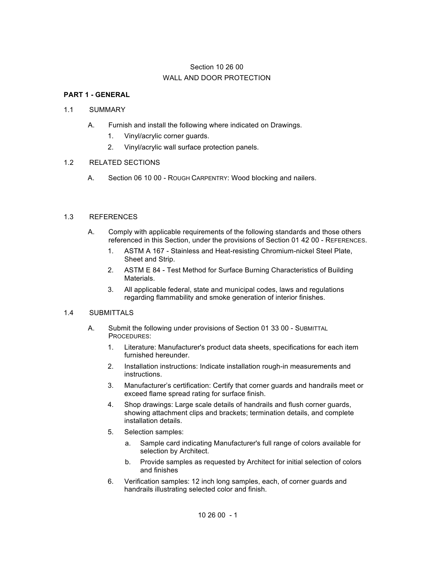# Section 10 26 00 WALL AND DOOR PROTECTION

## **PART 1 - GENERAL**

### 1.1 SUMMARY

- A. Furnish and install the following where indicated on Drawings.
	- 1. Vinyl/acrylic corner guards.
	- 2. Vinyl/acrylic wall surface protection panels.

#### 1.2 RELATED SECTIONS

A. Section 06 10 00 - ROUGH CARPENTRY: Wood blocking and nailers.

#### 1.3 REFERENCES

- A. Comply with applicable requirements of the following standards and those others referenced in this Section, under the provisions of Section 01 42 00 - REFERENCES.
	- 1. ASTM A 167 Stainless and Heat-resisting Chromium-nickel Steel Plate, Sheet and Strip.
	- 2. ASTM E 84 Test Method for Surface Burning Characteristics of Building Materials.
	- 3. All applicable federal, state and municipal codes, laws and regulations regarding flammability and smoke generation of interior finishes.

#### 1.4 SUBMITTALS

- A. Submit the following under provisions of Section 01 33 00 SUBMITTAL PROCEDURES:
	- 1. Literature: Manufacturer's product data sheets, specifications for each item furnished hereunder.
	- 2. Installation instructions: Indicate installation rough-in measurements and instructions.
	- 3. Manufacturer's certification: Certify that corner guards and handrails meet or exceed flame spread rating for surface finish.
	- 4. Shop drawings: Large scale details of handrails and flush corner guards, showing attachment clips and brackets; termination details, and complete installation details.
	- 5. Selection samples:
		- a. Sample card indicating Manufacturer's full range of colors available for selection by Architect.
		- b. Provide samples as requested by Architect for initial selection of colors and finishes
	- 6. Verification samples: 12 inch long samples, each, of corner guards and handrails illustrating selected color and finish.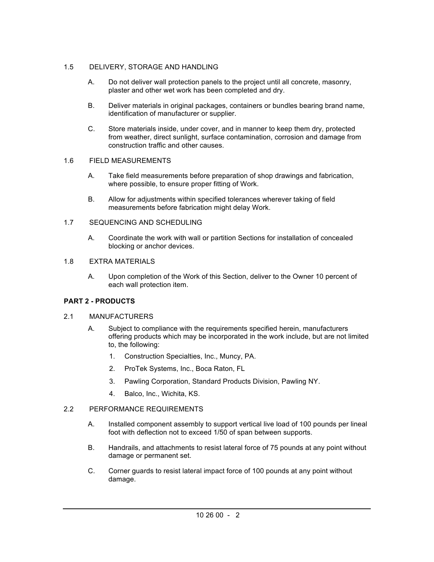## 1.5 DELIVERY, STORAGE AND HANDLING

- A. Do not deliver wall protection panels to the project until all concrete, masonry, plaster and other wet work has been completed and dry.
- B. Deliver materials in original packages, containers or bundles bearing brand name, identification of manufacturer or supplier.
- C. Store materials inside, under cover, and in manner to keep them dry, protected from weather, direct sunlight, surface contamination, corrosion and damage from construction traffic and other causes.

## 1.6 FIELD MEASUREMENTS

- A. Take field measurements before preparation of shop drawings and fabrication, where possible, to ensure proper fitting of Work.
- B. Allow for adjustments within specified tolerances wherever taking of field measurements before fabrication might delay Work.

## 1.7 SEQUENCING AND SCHEDULING

A. Coordinate the work with wall or partition Sections for installation of concealed blocking or anchor devices.

## 1.8 EXTRA MATERIALS

A. Upon completion of the Work of this Section, deliver to the Owner 10 percent of each wall protection item.

# **PART 2 - PRODUCTS**

## 2.1 MANUFACTURERS

- A. Subject to compliance with the requirements specified herein, manufacturers offering products which may be incorporated in the work include, but are not limited to, the following:
	- 1. Construction Specialties, Inc., Muncy, PA.
	- 2. ProTek Systems, Inc., Boca Raton, FL
	- 3. Pawling Corporation, Standard Products Division, Pawling NY.
	- 4. Balco, Inc., Wichita, KS.

## 2.2 PERFORMANCE REQUIREMENTS

- A. Installed component assembly to support vertical live load of 100 pounds per lineal foot with deflection not to exceed 1/50 of span between supports.
- B. Handrails, and attachments to resist lateral force of 75 pounds at any point without damage or permanent set.
- C. Corner guards to resist lateral impact force of 100 pounds at any point without damage.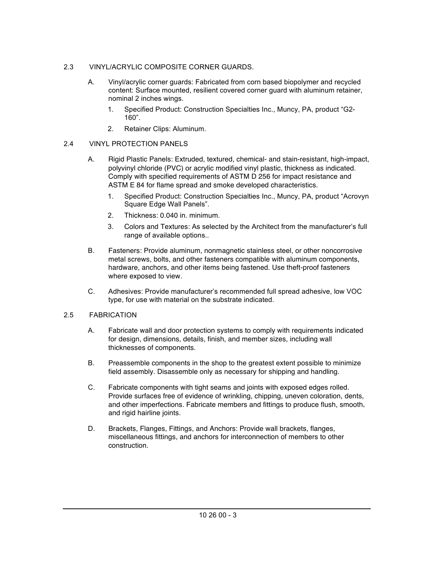## 2.3 VINYL/ACRYLIC COMPOSITE CORNER GUARDS.

- A. Vinyl/acrylic corner guards: Fabricated from corn based biopolymer and recycled content: Surface mounted, resilient covered corner guard with aluminum retainer, nominal 2 inches wings.
	- 1. Specified Product: Construction Specialties Inc., Muncy, PA, product "G2- 160".
	- 2. Retainer Clips: Aluminum.

## 2.4 VINYL PROTECTION PANELS

- A. Rigid Plastic Panels: Extruded, textured, chemical- and stain-resistant, high-impact, polyvinyl chloride (PVC) or acrylic modified vinyl plastic, thickness as indicated. Comply with specified requirements of ASTM D 256 for impact resistance and ASTM E 84 for flame spread and smoke developed characteristics.
	- 1. Specified Product: Construction Specialties Inc., Muncy, PA, product "Acrovyn Square Edge Wall Panels".
	- 2. Thickness: 0.040 in. minimum.
	- 3. Colors and Textures: As selected by the Architect from the manufacturer's full range of available options..
- B. Fasteners: Provide aluminum, nonmagnetic stainless steel, or other noncorrosive metal screws, bolts, and other fasteners compatible with aluminum components, hardware, anchors, and other items being fastened. Use theft-proof fasteners where exposed to view.
- C. Adhesives: Provide manufacturer's recommended full spread adhesive, low VOC type, for use with material on the substrate indicated.

## 2.5 FABRICATION

- A. Fabricate wall and door protection systems to comply with requirements indicated for design, dimensions, details, finish, and member sizes, including wall thicknesses of components.
- B. Preassemble components in the shop to the greatest extent possible to minimize field assembly. Disassemble only as necessary for shipping and handling.
- C. Fabricate components with tight seams and joints with exposed edges rolled. Provide surfaces free of evidence of wrinkling, chipping, uneven coloration, dents, and other imperfections. Fabricate members and fittings to produce flush, smooth, and rigid hairline joints.
- D. Brackets, Flanges, Fittings, and Anchors: Provide wall brackets, flanges, miscellaneous fittings, and anchors for interconnection of members to other construction.